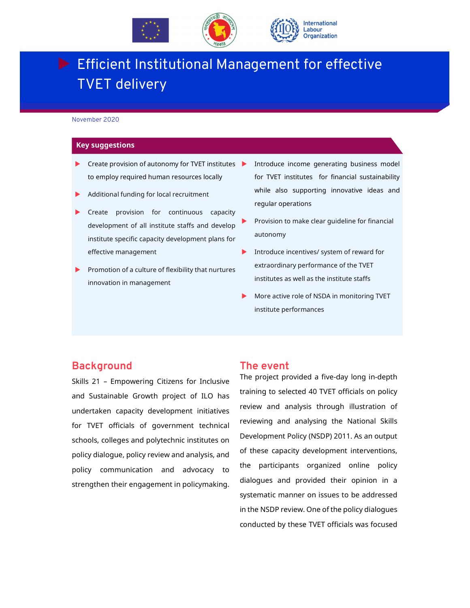

# **Efficient Institutional Management for effective** TVET delivery

November 2020

#### **Key suggestions**

- $\blacktriangleright$  Create provision of autonomy for TVET institutes  $\blacktriangleright$ to employ required human resources locally
- Additional funding for local recruitment
- Create provision for continuous capacity development of all institute staffs and develop institute specific capacity development plans for effective management
- Promotion of a culture of flexibility that nurtures innovation in management
- Introduce income generating business model for TVET institutes for financial sustainability while also supporting innovative ideas and regular operations
- Provision to make clear guideline for financial autonomy
- Introduce incentives/ system of reward for extraordinary performance of the TVET institutes as well as the institute staffs
- More active role of NSDA in monitoring TVET institute performances

#### **Background**

Skills 21 – Empowering Citizens for Inclusive and Sustainable Growth project of ILO has undertaken capacity development initiatives for TVET officials of government technical schools, colleges and polytechnic institutes on policy dialogue, policy review and analysis, and policy communication and advocacy to strengthen their engagement in policymaking.

#### **The event**

The project provided a five-day long in-depth training to selected 40 TVET officials on policy review and analysis through illustration of reviewing and analysing the National Skills Development Policy (NSDP) 2011. As an output of these capacity development interventions, the participants organized online policy dialogues and provided their opinion in a systematic manner on issues to be addressed in the NSDP review. One of the policy dialogues conducted by these TVET officials was focused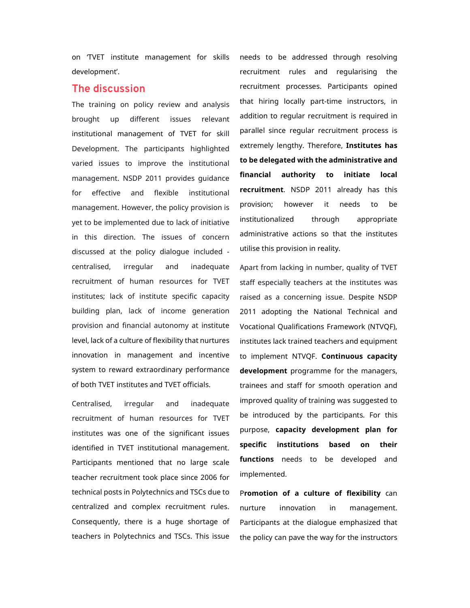on 'TVET institute management for skills development'.

### **The discussion**

The training on policy review and analysis brought up different issues relevant institutional management of TVET for skill Development. The participants highlighted varied issues to improve the institutional management. NSDP 2011 provides guidance for effective and flexible institutional management. However, the policy provision is yet to be implemented due to lack of initiative in this direction. The issues of concern discussed at the policy dialogue included centralised, irregular and inadequate recruitment of human resources for TVET institutes; lack of institute specific capacity building plan, lack of income generation provision and financial autonomy at institute level, lack of a culture of flexibility that nurtures innovation in management and incentive system to reward extraordinary performance of both TVET institutes and TVET officials.

Centralised, irregular and inadequate recruitment of human resources for TVET institutes was one of the significant issues identified in TVET institutional management. Participants mentioned that no large scale teacher recruitment took place since 2006 for technical posts in Polytechnics and TSCs due to centralized and complex recruitment rules. Consequently, there is a huge shortage of teachers in Polytechnics and TSCs. This issue needs to be addressed through resolving recruitment rules and regularising the recruitment processes. Participants opined that hiring locally part-time instructors, in addition to regular recruitment is required in parallel since regular recruitment process is extremely lengthy. Therefore, **Institutes has to be delegated with the administrative and financial authority to initiate local recruitment**. NSDP 2011 already has this provision; however it needs to be institutionalized through appropriate administrative actions so that the institutes utilise this provision in reality.

Apart from lacking in number, quality of TVET staff especially teachers at the institutes was raised as a concerning issue. Despite NSDP 2011 adopting the National Technical and Vocational Qualifications Framework (NTVQF), institutes lack trained teachers and equipment to implement NTVQF. **Continuous capacity development** programme for the managers, trainees and staff for smooth operation and improved quality of training was suggested to be introduced by the participants. For this purpose, **capacity development plan for specific institutions based on their functions** needs to be developed and implemented.

P**romotion of a culture of flexibility** can nurture innovation in management. Participants at the dialogue emphasized that the policy can pave the way for the instructors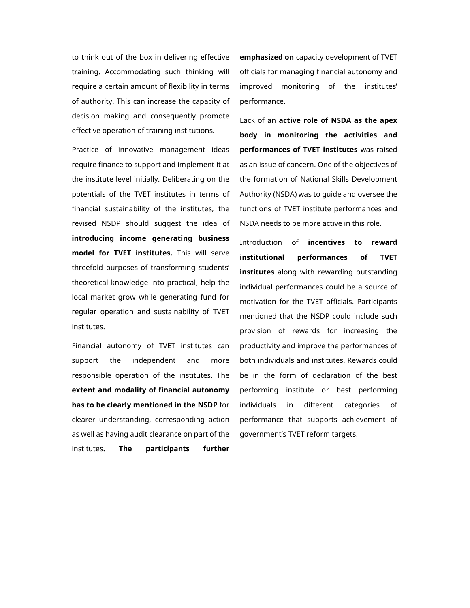to think out of the box in delivering effective training. Accommodating such thinking will require a certain amount of flexibility in terms of authority. This can increase the capacity of decision making and consequently promote effective operation of training institutions.

Practice of innovative management ideas require finance to support and implement it at the institute level initially. Deliberating on the potentials of the TVET institutes in terms of financial sustainability of the institutes, the revised NSDP should suggest the idea of **introducing income generating business model for TVET institutes.** This will serve threefold purposes of transforming students' theoretical knowledge into practical, help the local market grow while generating fund for regular operation and sustainability of TVET institutes.

Financial autonomy of TVET institutes can support the independent and more responsible operation of the institutes. The **extent and modality of financial autonomy has to be clearly mentioned in the NSDP** for clearer understanding, corresponding action as well as having audit clearance on part of the institutes**. The participants further** 

**emphasized on** capacity development of TVET officials for managing financial autonomy and improved monitoring of the institutes' performance.

Lack of an **active role of NSDA as the apex body in monitoring the activities and performances of TVET institutes** was raised as an issue of concern. One of the objectives of the formation of National Skills Development Authority (NSDA) was to guide and oversee the functions of TVET institute performances and NSDA needs to be more active in this role.

Introduction of **incentives to reward institutional performances of TVET institutes** along with rewarding outstanding individual performances could be a source of motivation for the TVET officials. Participants mentioned that the NSDP could include such provision of rewards for increasing the productivity and improve the performances of both individuals and institutes. Rewards could be in the form of declaration of the best performing institute or best performing individuals in different categories of performance that supports achievement of government's TVET reform targets.